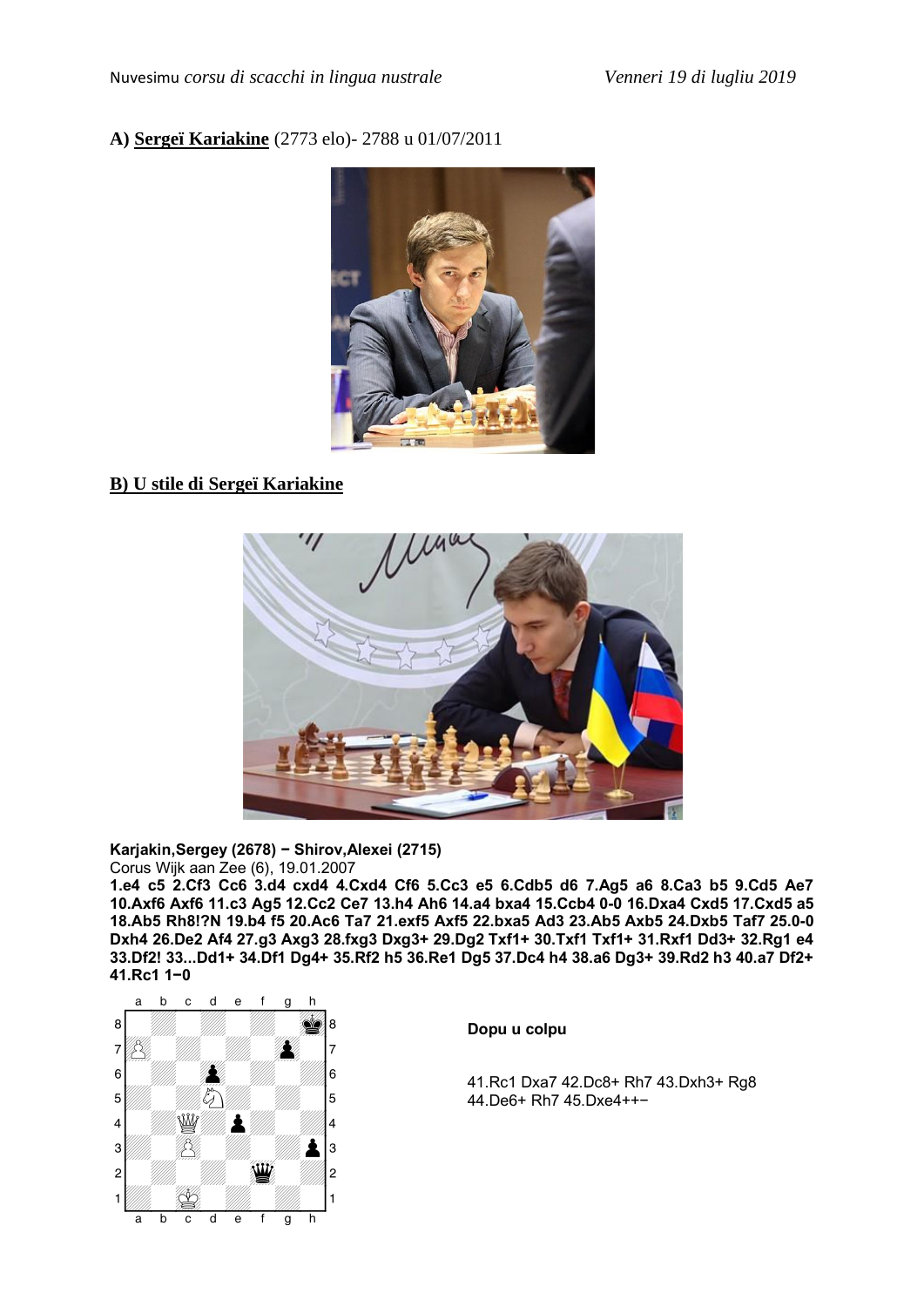### **A) Sergeï Kariakine** (2773 elo)- 2788 u 01/07/2011



# **B) U stile di Sergeï Kariakine**



#### **Karjakin,Sergey (2678) - Shirov,Alexei (2715)**  Corus Wijk aan Zee (6), 19.01.2007

**1.e4 c5 2.Cf3 Cc6 3.d4 cxd4 4.Cxd4 Cf6 5.Cc3 e5 6.Cdb5 d6 7.Ag5 a6 8.Ca3 b5 9.Cd5 Ae7 10.Axf6 Axf6 11.c3 Ag5 12.Cc2 Ce7 13.h4 Ah6 14.a4 bxa4 15.Ccb4 0–0 16.Dxa4 Cxd5 17.Cxd5 a5 18.Ab5 Rh8!?N 19.b4 f5 20.Ac6 Ta7 21.exf5 Axf5 22.bxa5 Ad3 23.Ab5 Axb5 24.Dxb5 Taf7 25.0–0 Dxh4 26.De2 Af4 27.g3 Axg3 28.fxg3 Dxg3+ 29.Dg2 Txf1+ 30.Txf1 Txf1+ 31.Rxf1 Dd3+ 32.Rg1 e4 33.Df2! 33...Dd1+ 34.Df1 Dg4+ 35.Rf2 h5 36.Re1 Dg5 37.Dc4 h4 38.a6 Dg3+ 39.Rd2 h3 40.a7 Df2+ 41.Rc1 1-0**



### **Dopu u colpu**

41.Rc1 Dxa7 42.Dc8+ Rh7 43.Dxh3+ Rg8 44.De6+ Rh7 45.Dxe4++-